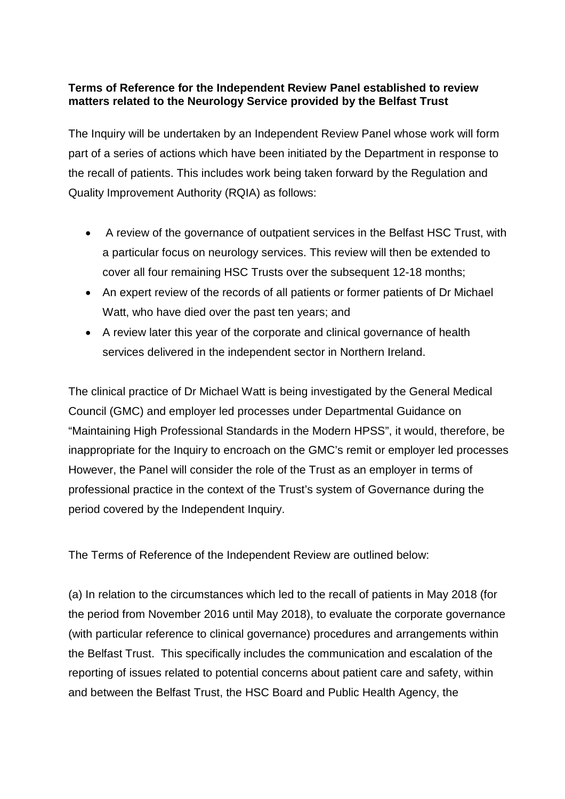## **Terms of Reference for the Independent Review Panel established to review matters related to the Neurology Service provided by the Belfast Trust**

The Inquiry will be undertaken by an Independent Review Panel whose work will form part of a series of actions which have been initiated by the Department in response to the recall of patients. This includes work being taken forward by the Regulation and Quality Improvement Authority (RQIA) as follows:

- A review of the governance of outpatient services in the Belfast HSC Trust, with a particular focus on neurology services. This review will then be extended to cover all four remaining HSC Trusts over the subsequent 12-18 months;
- An expert review of the records of all patients or former patients of Dr Michael Watt, who have died over the past ten years; and
- A review later this year of the corporate and clinical governance of health services delivered in the independent sector in Northern Ireland.

The clinical practice of Dr Michael Watt is being investigated by the General Medical Council (GMC) and employer led processes under Departmental Guidance on "Maintaining High Professional Standards in the Modern HPSS", it would, therefore, be inappropriate for the Inquiry to encroach on the GMC's remit or employer led processes However, the Panel will consider the role of the Trust as an employer in terms of professional practice in the context of the Trust's system of Governance during the period covered by the Independent Inquiry.

The Terms of Reference of the Independent Review are outlined below:

(a) In relation to the circumstances which led to the recall of patients in May 2018 (for the period from November 2016 until May 2018), to evaluate the corporate governance (with particular reference to clinical governance) procedures and arrangements within the Belfast Trust. This specifically includes the communication and escalation of the reporting of issues related to potential concerns about patient care and safety, within and between the Belfast Trust, the HSC Board and Public Health Agency, the